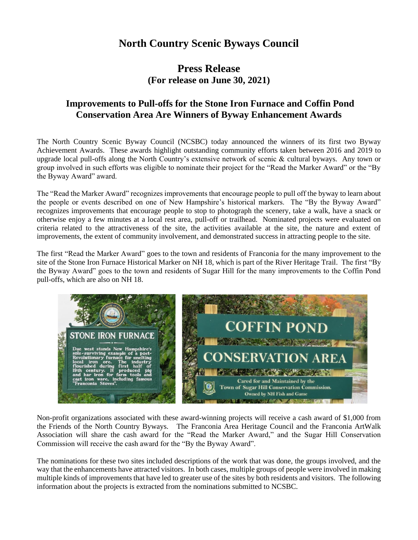## **North Country Scenic Byways Council**

## **Press Release (For release on June 30, 2021)**

## **Improvements to Pull-offs for the Stone Iron Furnace and Coffin Pond Conservation Area Are Winners of Byway Enhancement Awards**

The North Country Scenic Byway Council (NCSBC) today announced the winners of its first two Byway Achievement Awards. These awards highlight outstanding community efforts taken between 2016 and 2019 to upgrade local pull-offs along the North Country's extensive network of scenic & cultural byways. Any town or group involved in such efforts was eligible to nominate their project for the "Read the Marker Award" or the "By the Byway Award" award.

The "Read the Marker Award" recognizes improvements that encourage people to pull off the byway to learn about the people or events described on one of New Hampshire's historical markers. The "By the Byway Award" recognizes improvements that encourage people to stop to photograph the scenery, take a walk, have a snack or otherwise enjoy a few minutes at a local rest area, pull-off or trailhead. Nominated projects were evaluated on criteria related to the attractiveness of the site, the activities available at the site, the nature and extent of improvements, the extent of community involvement, and demonstrated success in attracting people to the site.

The first "Read the Marker Award" goes to the town and residents of Franconia for the many improvement to the site of the Stone Iron Furnace Historical Marker on NH 18, which is part of the River Heritage Trail. The first "By the Byway Award" goes to the town and residents of Sugar Hill for the many improvements to the Coffin Pond pull-offs, which are also on NH 18.



Non-profit organizations associated with these award-winning projects will receive a cash award of \$1,000 from the Friends of the North Country Byways. The Franconia Area Heritage Council and the Franconia ArtWalk Association will share the cash award for the "Read the Marker Award," and the Sugar Hill Conservation Commission will receive the cash award for the "By the Byway Award".

The nominations for these two sites included descriptions of the work that was done, the groups involved, and the way that the enhancements have attracted visitors. In both cases, multiple groups of people were involved in making multiple kinds of improvements that have led to greater use of the sites by both residents and visitors. The following information about the projects is extracted from the nominations submitted to NCSBC.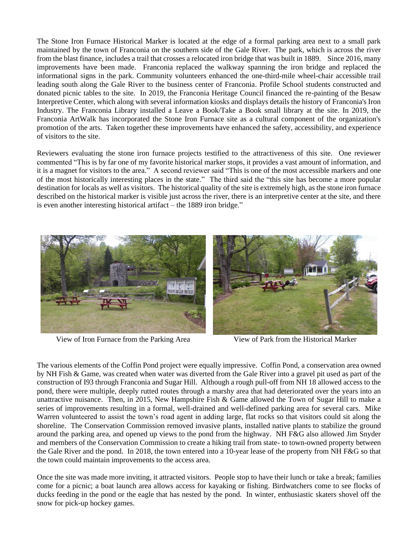The Stone Iron Furnace Historical Marker is located at the edge of a formal parking area next to a small park maintained by the town of Franconia on the southern side of the Gale River. The park, which is across the river from the blast finance, includes a trail that crosses a relocated iron bridge that was built in 1889. Since 2016, many improvements have been made. Franconia replaced the walkway spanning the iron bridge and replaced the informational signs in the park. Community volunteers enhanced the one-third-mile wheel-chair accessible trail leading south along the Gale River to the business center of Franconia. Profile School students constructed and donated picnic tables to the site. In 2019, the Franconia Heritage Council financed the re-painting of the Besaw Interpretive Center, which along with several information kiosks and displays details the history of Franconia's Iron Industry. The Franconia Library installed a Leave a Book/Take a Book small library at the site. In 2019, the Franconia ArtWalk has incorporated the Stone Iron Furnace site as a cultural component of the organization's promotion of the arts. Taken together these improvements have enhanced the safety, accessibility, and experience of visitors to the site.

Reviewers evaluating the stone iron furnace projects testified to the attractiveness of this site. One reviewer commented "This is by far one of my favorite historical marker stops, it provides a vast amount of information, and it is a magnet for visitors to the area." A second reviewer said "This is one of the most accessible markers and one of the most historically interesting places in the state." The third said the "this site has become a more popular destination for locals as well as visitors. The historical quality of the site is extremely high, as the stone iron furnace described on the historical marker is visible just across the river, there is an interpretive center at the site, and there is even another interesting historical artifact – the 1889 iron bridge."



View of Iron Furnace from the Parking Area View of Park from the Historical Marker

The various elements of the Coffin Pond project were equally impressive. Coffin Pond, a conservation area owned by NH Fish & Game, was created when water was diverted from the Gale River into a gravel pit used as part of the construction of I93 through Franconia and Sugar Hill. Although a rough pull-off from NH 18 allowed access to the pond, there were multiple, deeply rutted routes through a marshy area that had deteriorated over the years into an unattractive nuisance. Then, in 2015, New Hampshire Fish  $\&$  Game allowed the Town of Sugar Hill to make a series of improvements resulting in a formal, well-drained and well-defined parking area for several cars. Mike Warren volunteered to assist the town's road agent in adding large, flat rocks so that visitors could sit along the shoreline. The Conservation Commission removed invasive plants, installed native plants to stabilize the ground around the parking area, and opened up views to the pond from the highway. NH F&G also allowed Jim Snyder and members of the Conservation Commission to create a hiking trail from state- to town-owned property between the Gale River and the pond. In 2018, the town entered into a 10-year lease of the property from NH F&G so that the town could maintain improvements to the access area.

Once the site was made more inviting, it attracted visitors. People stop to have their lunch or take a break; families come for a picnic; a boat launch area allows access for kayaking or fishing. Birdwatchers come to see flocks of ducks feeding in the pond or the eagle that has nested by the pond. In winter, enthusiastic skaters shovel off the snow for pick-up hockey games.